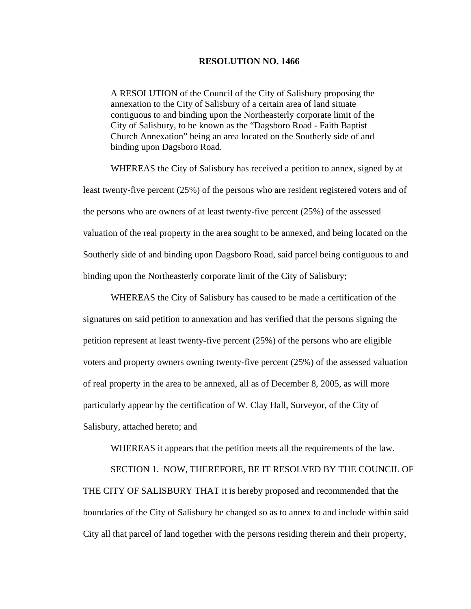## **RESOLUTION NO. 1466**

A RESOLUTION of the Council of the City of Salisbury proposing the annexation to the City of Salisbury of a certain area of land situate contiguous to and binding upon the Northeasterly corporate limit of the City of Salisbury, to be known as the "Dagsboro Road - Faith Baptist Church Annexation" being an area located on the Southerly side of and binding upon Dagsboro Road.

 WHEREAS the City of Salisbury has received a petition to annex, signed by at least twenty-five percent (25%) of the persons who are resident registered voters and of the persons who are owners of at least twenty-five percent (25%) of the assessed valuation of the real property in the area sought to be annexed, and being located on the Southerly side of and binding upon Dagsboro Road, said parcel being contiguous to and binding upon the Northeasterly corporate limit of the City of Salisbury;

 WHEREAS the City of Salisbury has caused to be made a certification of the signatures on said petition to annexation and has verified that the persons signing the petition represent at least twenty-five percent (25%) of the persons who are eligible voters and property owners owning twenty-five percent (25%) of the assessed valuation of real property in the area to be annexed, all as of December 8, 2005, as will more particularly appear by the certification of W. Clay Hall, Surveyor, of the City of Salisbury, attached hereto; and

WHEREAS it appears that the petition meets all the requirements of the law.

 SECTION 1. NOW, THEREFORE, BE IT RESOLVED BY THE COUNCIL OF THE CITY OF SALISBURY THAT it is hereby proposed and recommended that the boundaries of the City of Salisbury be changed so as to annex to and include within said City all that parcel of land together with the persons residing therein and their property,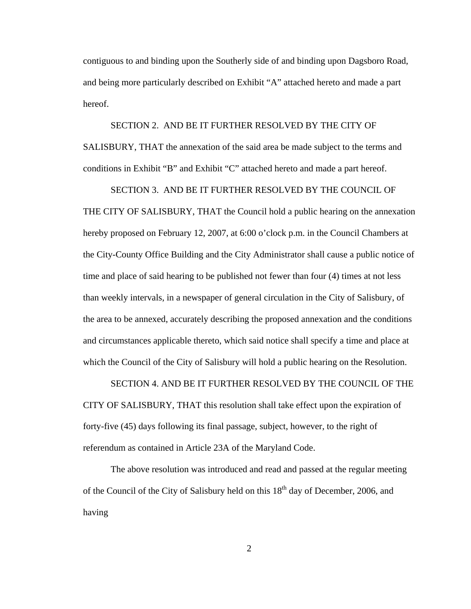contiguous to and binding upon the Southerly side of and binding upon Dagsboro Road, and being more particularly described on Exhibit "A" attached hereto and made a part hereof.

 SECTION 2. AND BE IT FURTHER RESOLVED BY THE CITY OF SALISBURY, THAT the annexation of the said area be made subject to the terms and conditions in Exhibit "B" and Exhibit "C" attached hereto and made a part hereof.

 SECTION 3. AND BE IT FURTHER RESOLVED BY THE COUNCIL OF THE CITY OF SALISBURY, THAT the Council hold a public hearing on the annexation hereby proposed on February 12, 2007, at 6:00 o'clock p.m. in the Council Chambers at the City-County Office Building and the City Administrator shall cause a public notice of time and place of said hearing to be published not fewer than four (4) times at not less than weekly intervals, in a newspaper of general circulation in the City of Salisbury, of the area to be annexed, accurately describing the proposed annexation and the conditions and circumstances applicable thereto, which said notice shall specify a time and place at which the Council of the City of Salisbury will hold a public hearing on the Resolution.

 SECTION 4. AND BE IT FURTHER RESOLVED BY THE COUNCIL OF THE CITY OF SALISBURY, THAT this resolution shall take effect upon the expiration of forty-five (45) days following its final passage, subject, however, to the right of referendum as contained in Article 23A of the Maryland Code.

 The above resolution was introduced and read and passed at the regular meeting of the Council of the City of Salisbury held on this  $18<sup>th</sup>$  day of December, 2006, and having